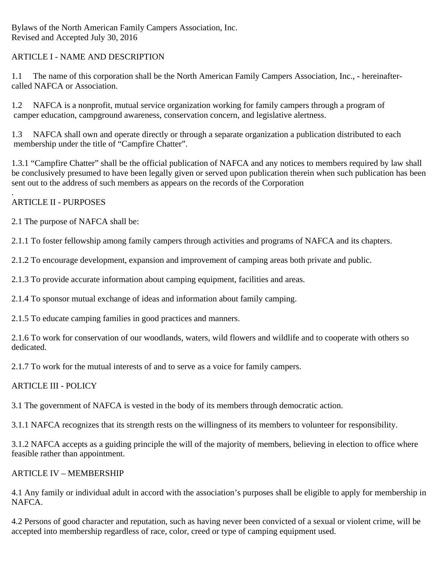Bylaws of the North American Family Campers Association, Inc. Revised and Accepted July 30, 2016

# ARTICLE I - NAME AND DESCRIPTION

1.1 The name of this corporation shall be the North American Family Campers Association, Inc., - hereinaftercalled NAFCA or Association.

1.2 NAFCA is a nonprofit, mutual service organization working for family campers through a program of camper education, campground awareness, conservation concern, and legislative alertness.

1.3 NAFCA shall own and operate directly or through a separate organization a publication distributed to each membership under the title of "Campfire Chatter".

1.3.1 "Campfire Chatter" shall be the official publication of NAFCA and any notices to members required by law shall be conclusively presumed to have been legally given or served upon publication therein when such publication has been sent out to the address of such members as appears on the records of the Corporation

#### . ARTICLE II - PURPOSES

2.1 The purpose of NAFCA shall be:

2.1.1 To foster fellowship among family campers through activities and programs of NAFCA and its chapters.

2.1.2 To encourage development, expansion and improvement of camping areas both private and public.

2.1.3 To provide accurate information about camping equipment, facilities and areas.

2.1.4 To sponsor mutual exchange of ideas and information about family camping.

2.1.5 To educate camping families in good practices and manners.

2.1.6 To work for conservation of our woodlands, waters, wild flowers and wildlife and to cooperate with others so dedicated.

2.1.7 To work for the mutual interests of and to serve as a voice for family campers.

### ARTICLE III - POLICY

3.1 The government of NAFCA is vested in the body of its members through democratic action.

3.1.1 NAFCA recognizes that its strength rests on the willingness of its members to volunteer for responsibility.

3.1.2 NAFCA accepts as a guiding principle the will of the majority of members, believing in election to office where feasible rather than appointment.

### ARTICLE IV – MEMBERSHIP

4.1 Any family or individual adult in accord with the association's purposes shall be eligible to apply for membership in NAFCA.

4.2 Persons of good character and reputation, such as having never been convicted of a sexual or violent crime, will be accepted into membership regardless of race, color, creed or type of camping equipment used.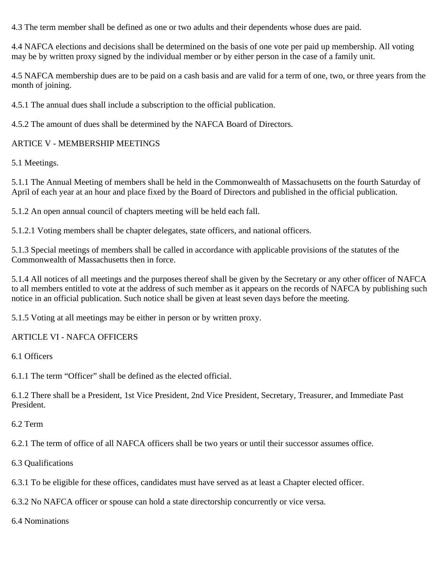4.3 The term member shall be defined as one or two adults and their dependents whose dues are paid.

4.4 NAFCA elections and decisions shall be determined on the basis of one vote per paid up membership. All voting may be by written proxy signed by the individual member or by either person in the case of a family unit.

4.5 NAFCA membership dues are to be paid on a cash basis and are valid for a term of one, two, or three years from the month of joining.

4.5.1 The annual dues shall include a subscription to the official publication.

4.5.2 The amount of dues shall be determined by the NAFCA Board of Directors.

# ARTICE V - MEMBERSHIP MEETINGS

5.1 Meetings.

5.1.1 The Annual Meeting of members shall be held in the Commonwealth of Massachusetts on the fourth Saturday of April of each year at an hour and place fixed by the Board of Directors and published in the official publication.

5.1.2 An open annual council of chapters meeting will be held each fall.

5.1.2.1 Voting members shall be chapter delegates, state officers, and national officers.

5.1.3 Special meetings of members shall be called in accordance with applicable provisions of the statutes of the Commonwealth of Massachusetts then in force.

5.1.4 All notices of all meetings and the purposes thereof shall be given by the Secretary or any other officer of NAFCA to all members entitled to vote at the address of such member as it appears on the records of NAFCA by publishing such notice in an official publication. Such notice shall be given at least seven days before the meeting.

5.1.5 Voting at all meetings may be either in person or by written proxy.

# ARTICLE VI - NAFCA OFFICERS

6.1 Officers

6.1.1 The term "Officer" shall be defined as the elected official.

6.1.2 There shall be a President, 1st Vice President, 2nd Vice President, Secretary, Treasurer, and Immediate Past President.

6.2 Term

6.2.1 The term of office of all NAFCA officers shall be two years or until their successor assumes office.

6.3 Qualifications

6.3.1 To be eligible for these offices, candidates must have served as at least a Chapter elected officer.

6.3.2 No NAFCA officer or spouse can hold a state directorship concurrently or vice versa.

6.4 Nominations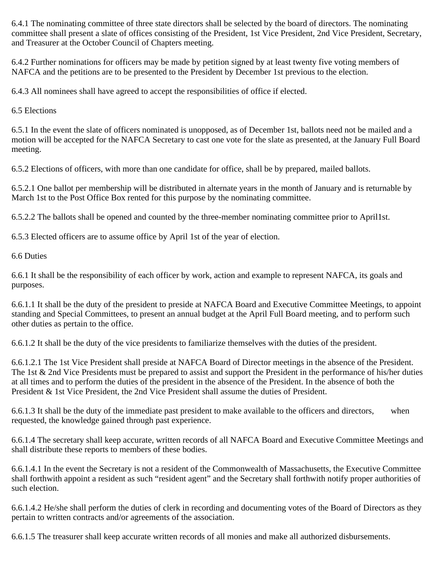6.4.1 The nominating committee of three state directors shall be selected by the board of directors. The nominating committee shall present a slate of offices consisting of the President, 1st Vice President, 2nd Vice President, Secretary, and Treasurer at the October Council of Chapters meeting.

6.4.2 Further nominations for officers may be made by petition signed by at least twenty five voting members of NAFCA and the petitions are to be presented to the President by December 1st previous to the election.

6.4.3 All nominees shall have agreed to accept the responsibilities of office if elected.

6.5 Elections

6.5.1 In the event the slate of officers nominated is unopposed, as of December 1st, ballots need not be mailed and a motion will be accepted for the NAFCA Secretary to cast one vote for the slate as presented, at the January Full Board meeting.

6.5.2 Elections of officers, with more than one candidate for office, shall be by prepared, mailed ballots.

6.5.2.1 One ballot per membership will be distributed in alternate years in the month of January and is returnable by March 1st to the Post Office Box rented for this purpose by the nominating committee.

6.5.2.2 The ballots shall be opened and counted by the three-member nominating committee prior to April1st.

6.5.3 Elected officers are to assume office by April 1st of the year of election.

6.6 Duties

6.6.1 It shall be the responsibility of each officer by work, action and example to represent NAFCA, its goals and purposes.

6.6.1.1 It shall be the duty of the president to preside at NAFCA Board and Executive Committee Meetings, to appoint standing and Special Committees, to present an annual budget at the April Full Board meeting, and to perform such other duties as pertain to the office.

6.6.1.2 It shall be the duty of the vice presidents to familiarize themselves with the duties of the president.

6.6.1.2.1 The 1st Vice President shall preside at NAFCA Board of Director meetings in the absence of the President. The 1st & 2nd Vice Presidents must be prepared to assist and support the President in the performance of his/her duties at all times and to perform the duties of the president in the absence of the President. In the absence of both the President & 1st Vice President, the 2nd Vice President shall assume the duties of President.

6.6.1.3 It shall be the duty of the immediate past president to make available to the officers and directors, when requested, the knowledge gained through past experience.

6.6.1.4 The secretary shall keep accurate, written records of all NAFCA Board and Executive Committee Meetings and shall distribute these reports to members of these bodies.

6.6.1.4.1 In the event the Secretary is not a resident of the Commonwealth of Massachusetts, the Executive Committee shall forthwith appoint a resident as such "resident agent" and the Secretary shall forthwith notify proper authorities of such election.

6.6.1.4.2 He/she shall perform the duties of clerk in recording and documenting votes of the Board of Directors as they pertain to written contracts and/or agreements of the association.

6.6.1.5 The treasurer shall keep accurate written records of all monies and make all authorized disbursements.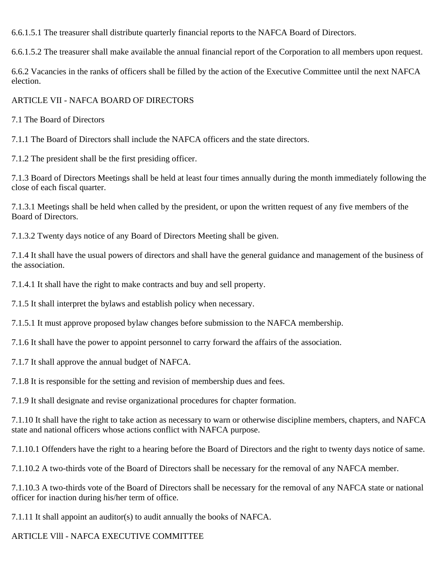6.6.1.5.1 The treasurer shall distribute quarterly financial reports to the NAFCA Board of Directors.

6.6.1.5.2 The treasurer shall make available the annual financial report of the Corporation to all members upon request.

6.6.2 Vacancies in the ranks of officers shall be filled by the action of the Executive Committee until the next NAFCA election.

#### ARTICLE VII - NAFCA BOARD OF DIRECTORS

7.1 The Board of Directors

7.1.1 The Board of Directors shall include the NAFCA officers and the state directors.

7.1.2 The president shall be the first presiding officer.

7.1.3 Board of Directors Meetings shall be held at least four times annually during the month immediately following the close of each fiscal quarter.

7.1.3.1 Meetings shall be held when called by the president, or upon the written request of any five members of the Board of Directors.

7.1.3.2 Twenty days notice of any Board of Directors Meeting shall be given.

7.1.4 It shall have the usual powers of directors and shall have the general guidance and management of the business of the association.

7.1.4.1 It shall have the right to make contracts and buy and sell property.

7.1.5 It shall interpret the bylaws and establish policy when necessary.

7.1.5.1 It must approve proposed bylaw changes before submission to the NAFCA membership.

7.1.6 It shall have the power to appoint personnel to carry forward the affairs of the association.

7.1.7 It shall approve the annual budget of NAFCA.

7.1.8 It is responsible for the setting and revision of membership dues and fees.

7.1.9 It shall designate and revise organizational procedures for chapter formation.

7.1.10 It shall have the right to take action as necessary to warn or otherwise discipline members, chapters, and NAFCA state and national officers whose actions conflict with NAFCA purpose.

7.1.10.1 Offenders have the right to a hearing before the Board of Directors and the right to twenty days notice of same.

7.1.10.2 A two-thirds vote of the Board of Directors shall be necessary for the removal of any NAFCA member.

7.1.10.3 A two-thirds vote of the Board of Directors shall be necessary for the removal of any NAFCA state or national officer for inaction during his/her term of office.

7.1.11 It shall appoint an auditor(s) to audit annually the books of NAFCA.

### ARTICLE Vlll - NAFCA EXECUTIVE COMMITTEE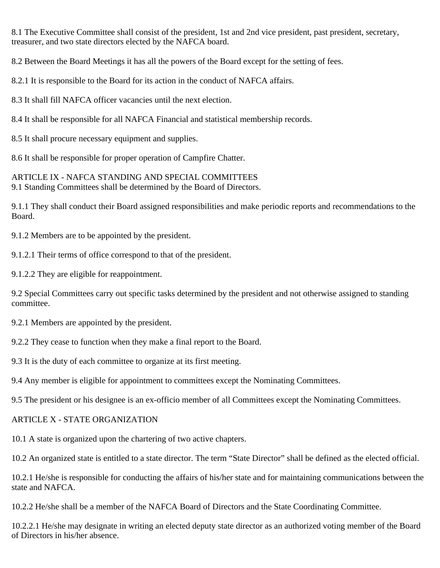8.1 The Executive Committee shall consist of the president, 1st and 2nd vice president, past president, secretary, treasurer, and two state directors elected by the NAFCA board.

8.2 Between the Board Meetings it has all the powers of the Board except for the setting of fees.

8.2.1 It is responsible to the Board for its action in the conduct of NAFCA affairs.

8.3 It shall fill NAFCA officer vacancies until the next election.

8.4 It shall be responsible for all NAFCA Financial and statistical membership records.

8.5 It shall procure necessary equipment and supplies.

8.6 It shall be responsible for proper operation of Campfire Chatter.

ARTICLE IX - NAFCA STANDING AND SPECIAL COMMITTEES 9.1 Standing Committees shall be determined by the Board of Directors.

9.1.1 They shall conduct their Board assigned responsibilities and make periodic reports and recommendations to the Board.

9.1.2 Members are to be appointed by the president.

9.1.2.1 Their terms of office correspond to that of the president.

9.1.2.2 They are eligible for reappointment.

9.2 Special Committees carry out specific tasks determined by the president and not otherwise assigned to standing committee.

9.2.1 Members are appointed by the president.

9.2.2 They cease to function when they make a final report to the Board.

9.3 It is the duty of each committee to organize at its first meeting.

9.4 Any member is eligible for appointment to committees except the Nominating Committees.

9.5 The president or his designee is an ex-officio member of all Committees except the Nominating Committees.

### ARTICLE X - STATE ORGANIZATION

10.1 A state is organized upon the chartering of two active chapters.

10.2 An organized state is entitled to a state director. The term "State Director" shall be defined as the elected official.

10.2.1 He/she is responsible for conducting the affairs of his/her state and for maintaining communications between the state and NAFCA.

10.2.2 He/she shall be a member of the NAFCA Board of Directors and the State Coordinating Committee.

10.2.2.1 He/she may designate in writing an elected deputy state director as an authorized voting member of the Board of Directors in his/her absence.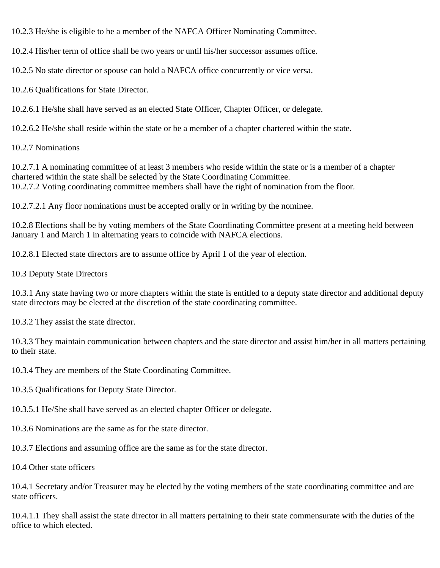10.2.3 He/she is eligible to be a member of the NAFCA Officer Nominating Committee.

10.2.4 His/her term of office shall be two years or until his/her successor assumes office.

10.2.5 No state director or spouse can hold a NAFCA office concurrently or vice versa.

10.2.6 Qualifications for State Director.

10.2.6.1 He/she shall have served as an elected State Officer, Chapter Officer, or delegate.

10.2.6.2 He/she shall reside within the state or be a member of a chapter chartered within the state.

10.2.7 Nominations

10.2.7.1 A nominating committee of at least 3 members who reside within the state or is a member of a chapter chartered within the state shall be selected by the State Coordinating Committee. 10.2.7.2 Voting coordinating committee members shall have the right of nomination from the floor.

10.2.7.2.1 Any floor nominations must be accepted orally or in writing by the nominee.

10.2.8 Elections shall be by voting members of the State Coordinating Committee present at a meeting held between January 1 and March 1 in alternating years to coincide with NAFCA elections.

10.2.8.1 Elected state directors are to assume office by April 1 of the year of election.

10.3 Deputy State Directors

10.3.1 Any state having two or more chapters within the state is entitled to a deputy state director and additional deputy state directors may be elected at the discretion of the state coordinating committee.

10.3.2 They assist the state director.

10.3.3 They maintain communication between chapters and the state director and assist him/her in all matters pertaining to their state.

10.3.4 They are members of the State Coordinating Committee.

10.3.5 Qualifications for Deputy State Director.

10.3.5.1 He/She shall have served as an elected chapter Officer or delegate.

10.3.6 Nominations are the same as for the state director.

10.3.7 Elections and assuming office are the same as for the state director.

10.4 Other state officers

10.4.1 Secretary and/or Treasurer may be elected by the voting members of the state coordinating committee and are state officers.

10.4.1.1 They shall assist the state director in all matters pertaining to their state commensurate with the duties of the office to which elected.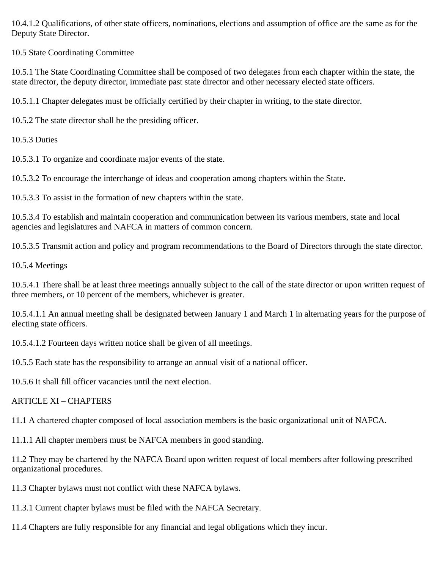10.4.1.2 Qualifications, of other state officers, nominations, elections and assumption of office are the same as for the Deputy State Director.

10.5 State Coordinating Committee

10.5.1 The State Coordinating Committee shall be composed of two delegates from each chapter within the state, the state director, the deputy director, immediate past state director and other necessary elected state officers.

10.5.1.1 Chapter delegates must be officially certified by their chapter in writing, to the state director.

10.5.2 The state director shall be the presiding officer.

10.5.3 Duties

10.5.3.1 To organize and coordinate major events of the state.

10.5.3.2 To encourage the interchange of ideas and cooperation among chapters within the State.

10.5.3.3 To assist in the formation of new chapters within the state.

10.5.3.4 To establish and maintain cooperation and communication between its various members, state and local agencies and legislatures and NAFCA in matters of common concern.

10.5.3.5 Transmit action and policy and program recommendations to the Board of Directors through the state director.

10.5.4 Meetings

10.5.4.1 There shall be at least three meetings annually subject to the call of the state director or upon written request of three members, or 10 percent of the members, whichever is greater.

10.5.4.1.1 An annual meeting shall be designated between January 1 and March 1 in alternating years for the purpose of electing state officers.

10.5.4.1.2 Fourteen days written notice shall be given of all meetings.

10.5.5 Each state has the responsibility to arrange an annual visit of a national officer.

10.5.6 It shall fill officer vacancies until the next election.

# ARTICLE XI – CHAPTERS

11.1 A chartered chapter composed of local association members is the basic organizational unit of NAFCA.

11.1.1 All chapter members must be NAFCA members in good standing.

11.2 They may be chartered by the NAFCA Board upon written request of local members after following prescribed organizational procedures.

- 11.3 Chapter bylaws must not conflict with these NAFCA bylaws.
- 11.3.1 Current chapter bylaws must be filed with the NAFCA Secretary.
- 11.4 Chapters are fully responsible for any financial and legal obligations which they incur.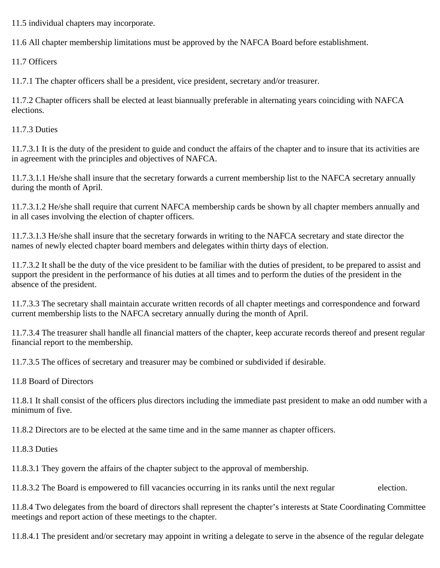11.5 individual chapters may incorporate.

11.6 All chapter membership limitations must be approved by the NAFCA Board before establishment.

11.7 Officers

11.7.1 The chapter officers shall be a president, vice president, secretary and/or treasurer.

11.7.2 Chapter officers shall be elected at least biannually preferable in alternating years coinciding with NAFCA elections.

11.7.3 Duties

11.7.3.1 It is the duty of the president to guide and conduct the affairs of the chapter and to insure that its activities are in agreement with the principles and objectives of NAFCA.

11.7.3.1.1 He/she shall insure that the secretary forwards a current membership list to the NAFCA secretary annually during the month of April.

11.7.3.1.2 He/she shall require that current NAFCA membership cards be shown by all chapter members annually and in all cases involving the election of chapter officers.

11.7.3.1.3 He/she shall insure that the secretary forwards in writing to the NAFCA secretary and state director the names of newly elected chapter board members and delegates within thirty days of election.

11.7.3.2 It shall be the duty of the vice president to be familiar with the duties of president, to be prepared to assist and support the president in the performance of his duties at all times and to perform the duties of the president in the absence of the president.

11.7.3.3 The secretary shall maintain accurate written records of all chapter meetings and correspondence and forward current membership lists to the NAFCA secretary annually during the month of April.

11.7.3.4 The treasurer shall handle all financial matters of the chapter, keep accurate records thereof and present regular financial report to the membership.

11.7.3.5 The offices of secretary and treasurer may be combined or subdivided if desirable.

11.8 Board of Directors

11.8.1 It shall consist of the officers plus directors including the immediate past president to make an odd number with a minimum of five.

11.8.2 Directors are to be elected at the same time and in the same manner as chapter officers.

11.8.3 Duties

11.8.3.1 They govern the affairs of the chapter subject to the approval of membership.

11.8.3.2 The Board is empowered to fill vacancies occurring in its ranks until the next regular election.

11.8.4 Two delegates from the board of directors shall represent the chapter's interests at State Coordinating Committee meetings and report action of these meetings to the chapter.

11.8.4.1 The president and/or secretary may appoint in writing a delegate to serve in the absence of the regular delegate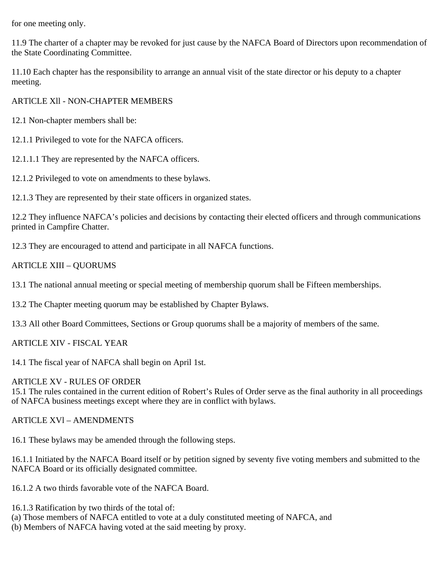for one meeting only.

11.9 The charter of a chapter may be revoked for just cause by the NAFCA Board of Directors upon recommendation of the State Coordinating Committee.

11.10 Each chapter has the responsibility to arrange an annual visit of the state director or his deputy to a chapter meeting.

ARTlCLE Xll - NON-CHAPTER MEMBERS

12.1 Non-chapter members shall be:

12.1.1 Privileged to vote for the NAFCA officers.

12.1.1.1 They are represented by the NAFCA officers.

12.1.2 Privileged to vote on amendments to these bylaws.

12.1.3 They are represented by their state officers in organized states.

12.2 They influence NAFCA's policies and decisions by contacting their elected officers and through communications printed in Campfire Chatter.

12.3 They are encouraged to attend and participate in all NAFCA functions.

### ARTlCLE XIII – QUORUMS

13.1 The national annual meeting or special meeting of membership quorum shall be Fifteen memberships.

13.2 The Chapter meeting quorum may be established by Chapter Bylaws.

13.3 All other Board Committees, Sections or Group quorums shall be a majority of members of the same.

ARTICLE XIV - FISCAL YEAR

14.1 The fiscal year of NAFCA shall begin on April 1st.

### ARTlCLE XV - RULES OF ORDER

15.1 The rules contained in the current edition of Robert's Rules of Order serve as the final authority in all proceedings of NAFCA business meetings except where they are in conflict with bylaws.

ARTlCLE XVl – AMENDMENTS

16.1 These bylaws may be amended through the following steps.

16.1.1 Initiated by the NAFCA Board itself or by petition signed by seventy five voting members and submitted to the NAFCA Board or its officially designated committee.

16.1.2 A two thirds favorable vote of the NAFCA Board.

16.1.3 Ratification by two thirds of the total of:

(a) Those members of NAFCA entitled to vote at a duly constituted meeting of NAFCA, and

(b) Members of NAFCA having voted at the said meeting by proxy.